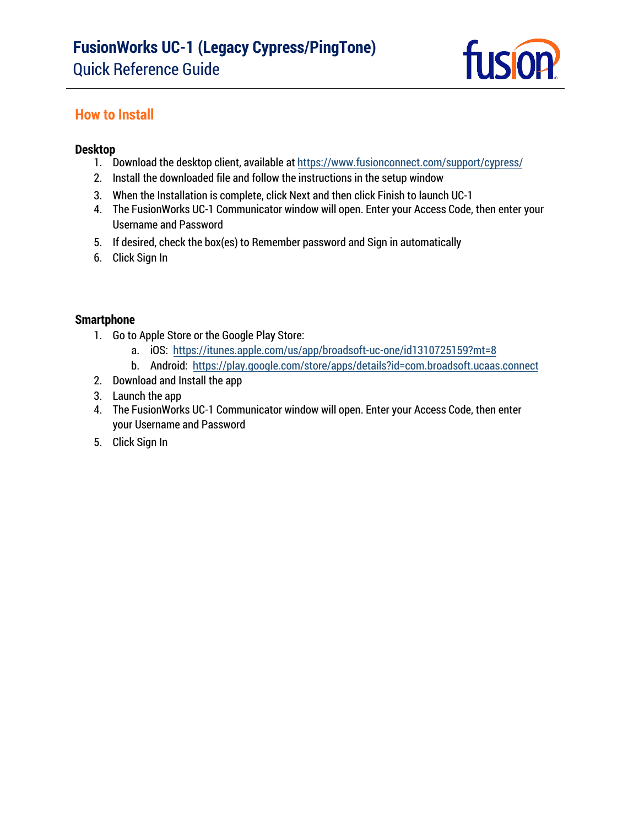

## **How to Install**

#### **Desktop**

- 1. Download the desktop client, available at [https://www.fusionconnect.com/support/cypress/](http://www.fusionconnect.com/support/product-resources/fusionworks-support)
- 2. [Install the downloaded file and f](http://www.fusionconnect.com/support/product-resources/fusionworks-support)ollow the instructions in the setup window
- 3. When the Installation is complete, click Next and then click Finish to launch UC-1
- 4. The FusionWorks UC-1 Communicator window will open. Enter your Access Code, then enter your Username and Password
- 5. If desired, check the box(es) to Remember password and Sign in automatically
- 6. Click Sign In

#### **Smartphone**

- 1. Go to Apple Store or the Google Play Store:
	- a. iOS: <https://itunes.apple.com/us/app/broadsoft-uc-one/id1310725159?mt=8>
	- b. Android:<https://play.google.com/store/apps/details?id=com.broadsoft.ucaas.connect>
- 2. Download and Install the app
- 3. Launch the app
- 4. The FusionWorks UC-1 Communicator window will open. Enter your Access Code, then enter your Username and Password
- 5. Click Sign In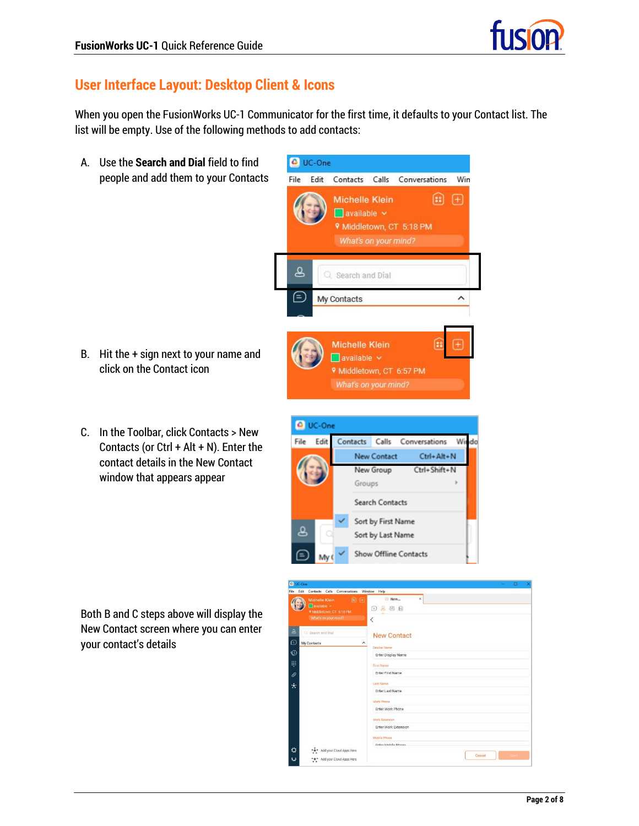

# **User Interface Layout: Desktop Client & Icons**

When you open the FusionWorks UC-1 Communicator for the first time, it defaults to your Contact list. The list will be empty. Use of the following methods to add contacts:

UC-One

Edit

File

A. Use the **Search and Dial** field to find people and add them to your Contacts

- B. Hit the + sign next to your name and click on the Contact icon
- C. In the Toolbar, click Contacts > New Contacts (or  $Ctrl + Alt + N$ ). Enter the contact details in the New Contact window that appears appear

Both B and C steps above will display the New Contact screen where you can enter your contact's details



Contacts Calls Conversations

Win

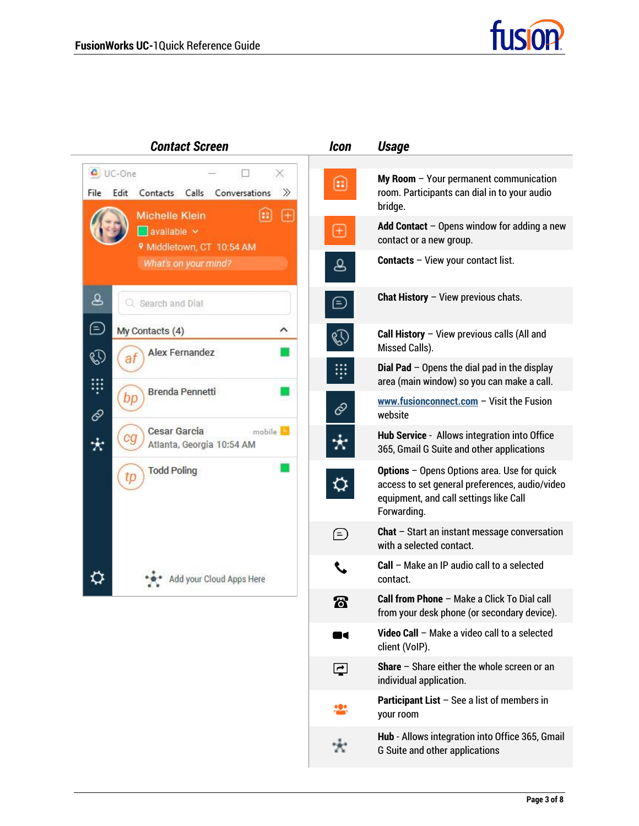

| <b>Contact Screen</b>                                                                                       | <b>Icon</b>                  | <b>Usage</b>                                                                                                                                           |
|-------------------------------------------------------------------------------------------------------------|------------------------------|--------------------------------------------------------------------------------------------------------------------------------------------------------|
| UC-One<br>×<br>Conversations<br>≫<br>Edit<br>Calls<br>File<br>Contacts<br><b>Michelle Klein</b><br>$^{(+)}$ | 8                            | $My Room - Your permanent communication$<br>room. Participants can dial in to your audio<br>bridge.                                                    |
| available v<br><b>V</b> Middletown, CT 10:54 AM                                                             | $\left( \pm \right)$         | Add Contact $-$ Opens window for adding a new<br>contact or a new group.                                                                               |
| What's on your mind?                                                                                        | ப்                           | <b>Contacts</b> - View your contact list.                                                                                                              |
| ப்<br>Q Search and Dial                                                                                     | $\circled{\scriptstyle \pm}$ | <b>Chat History</b> $-$ View previous chats.                                                                                                           |
| Θ<br>My Contacts (4)<br>∧<br>Alex Fernandez<br>Ø                                                            | R,                           | Call History $-$ View previous calls (All and<br>Missed Calls).                                                                                        |
| ş<br><b>Brenda Pennetti</b>                                                                                 |                              | <b>Dial Pad</b> $-$ Opens the dial pad in the display<br>area (main window) so you can make a call.                                                    |
| bp<br>6                                                                                                     | c                            | www.fusionconnect.com $-$ Visit the Fusion<br>website                                                                                                  |
| <b>Cesar Garcia</b><br>mobile <sup>15</sup><br>Atlanta, Georgia 10:54 AM                                    |                              | Hub Service - Allows integration into Office<br>365, Gmail G Suite and other applications                                                              |
| <b>Todd Poling</b><br>ιp                                                                                    |                              | Options - Opens Options area. Use for quick<br>access to set general preferences, audio/video<br>equipment, and call settings like Call<br>Forwarding. |
|                                                                                                             | $\mathcal{F}$                | <b>Chat</b> $-$ Start an instant message conversation<br>with a selected contact.                                                                      |
| dd your Cloud Apps Here                                                                                     |                              | Call - Make an IP audio call to a selected<br>contact.                                                                                                 |
|                                                                                                             | 同                            | Call from Phone - Make a Click To Dial call<br>from your desk phone (or secondary device).                                                             |
|                                                                                                             | <b>IC</b>                    | Video Call - Make a video call to a selected<br>client (VoIP).                                                                                         |
|                                                                                                             | $\overline{\mathbf{r}}$      | Share - Share either the whole screen or an<br>individual application.                                                                                 |
|                                                                                                             |                              | <b>Participant List</b> $-$ See a list of members in<br>your room                                                                                      |
|                                                                                                             |                              | Hub - Allows integration into Office 365, Gmail<br>G Suite and other applications                                                                      |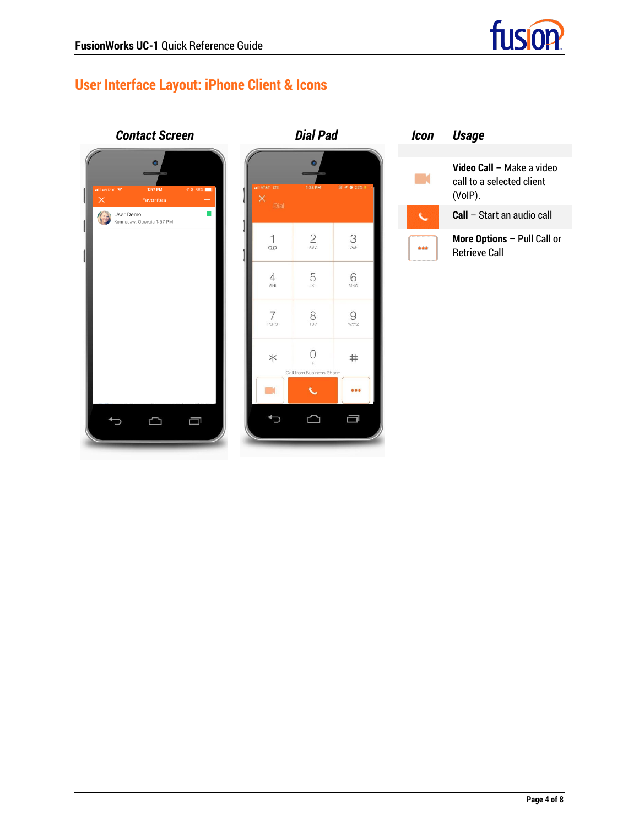

# **User Interface Layout: iPhone Client & Icons**

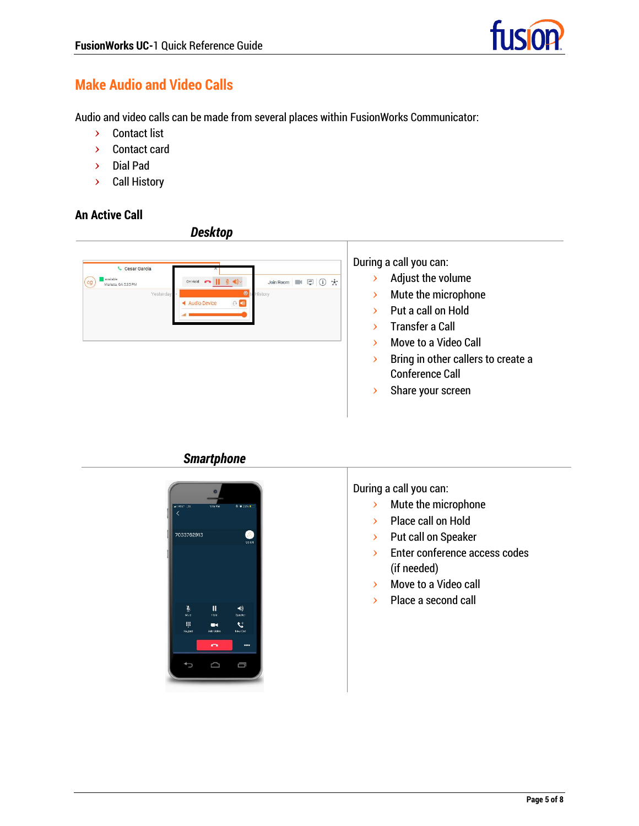# **Make Audio and Video Calls**

Audio and video calls can be made from several places within FusionWorks Communicator:

- **>** Contact list
- **>** Contact card
- **>** Dial Pad
- **>** Call History

#### **An Active Call**

*Desktop*



*Smartphone*



During a call you can:

- **>** Mute the microphone
- **>** Place call on Hold
- **>** Put call on Speaker
- **>** Enter conference access codes (if needed)
- **>** Move to a Video call
- **>** Place a second call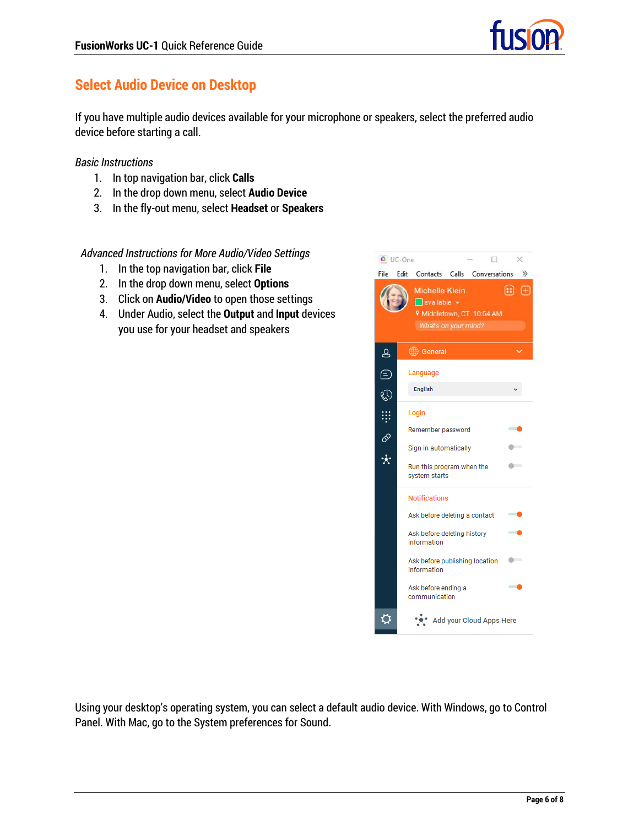

# **Select Audio Device on Desktop**

If you have multiple audio devices available for your microphone or speakers, select the preferred audio device before starting a call.

#### *Basic Instructions*

- 1. In top navigation bar, click **Calls**
- 2. In the drop down menu, select **Audio Device**
- 3. In the fly-out menu, select **Headset** or **Speakers**

#### *Advanced Instructions for More Audio/Video Settings*

- 1. In the top navigation bar, click **File**
- 2. In the drop down menu, select **Options**
- 3. Click on **Audio/Video** to open those settings
- 4. Under Audio, select the **Output** and **Input** devices you use for your headset and speakers



Using your desktop's operating system, you can select a default audio device. With Windows, go to Control Panel. With Mac, go to the System preferences for Sound.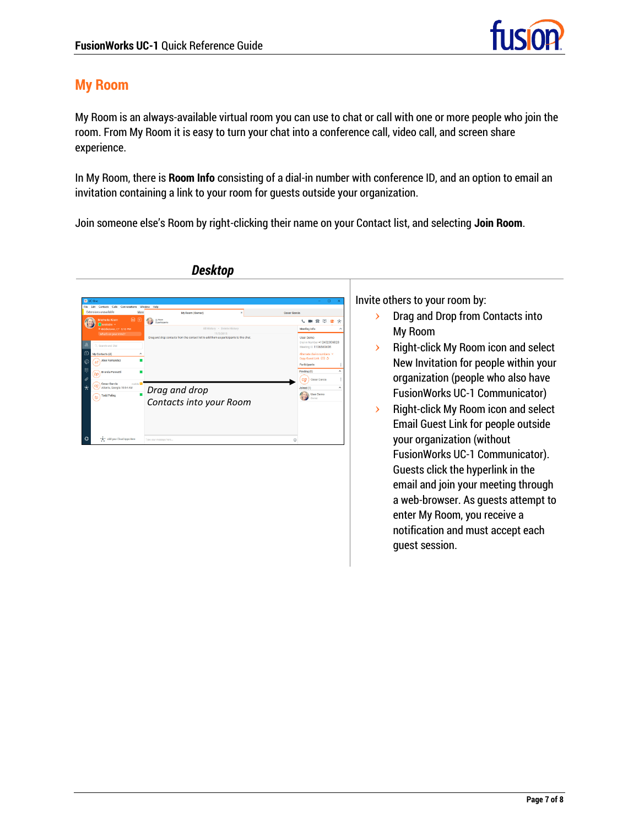

## **My Room**

My Room is an always-available virtual room you can use to chat or call with one or more people who join the room. From My Room it is easy to turn your chat into a conference call, video call, and screen share experience.

In My Room, there is **Room Info** consisting of a dial-in number with conference ID, and an option to email an invitation containing a link to your room for guests outside your organization.

Join someone else's Room by right-clicking their name on your Contact list, and selecting **Join Room**.



### *Desktop*

Invite others to your room by:

- **>** Drag and Drop from Contacts into My Room
- **>** Right-click My Room icon and select New Invitation for people within your organization (people who also have FusionWorks UC-1 Communicator)
- **>** Right-click My Room icon and select Email Guest Link for people outside your organization (without FusionWorks UC-1 Communicator). Guests click the hyperlink in the email and join your meeting through a web-browser. As guests attempt to enter My Room, you receive a notification and must accept each guest session.